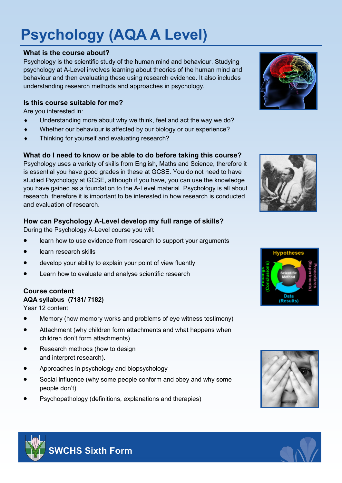# **Psychology (AQA A Level)**

#### **What is the course about?**

Psychology is the scientific study of the human mind and behaviour. Studying psychology at A-Level involves learning about theories of the human mind and behaviour and then evaluating these using research evidence. It also includes understanding research methods and approaches in psychology.

### **Is this course suitable for me?**

Are you interested in:

- Understanding more about why we think, feel and act the way we do?
- Whether our behaviour is affected by our biology or our experience?
- $\bullet$  Thinking for yourself and evaluating research?

#### **What do I need to know or be able to do before taking this course?**

Psychology uses a variety of skills from English, Maths and Science, therefore it is essential you have good grades in these at GCSE. You do not need to have studied Psychology at GCSE, although if you have, you can use the knowledge you have gained as a foundation to the A-Level material. Psychology is all about research, therefore it is important to be interested in how research is conducted and evaluation of research.

# **How can Psychology A-Level develop my full range of skills?**

During the Psychology A-Level course you will:

- learn how to use evidence from research to support your arguments
- learn research skills
- develop your ability to explain your point of view fluently
- Learn how to evaluate and analyse scientific research

# **Course content**

# **AQA syllabus (7181/ 7182)**

Year 12 content

- Memory (how memory works and problems of eye witness testimony)
- Attachment (why children form attachments and what happens when children don't form attachments)
- Research methods (how to design and interpret research).
- Approaches in psychology and biopsychology
- Social influence (why some people conform and obey and why some people don't)
- Psychopathology (definitions, explanations and therapies)